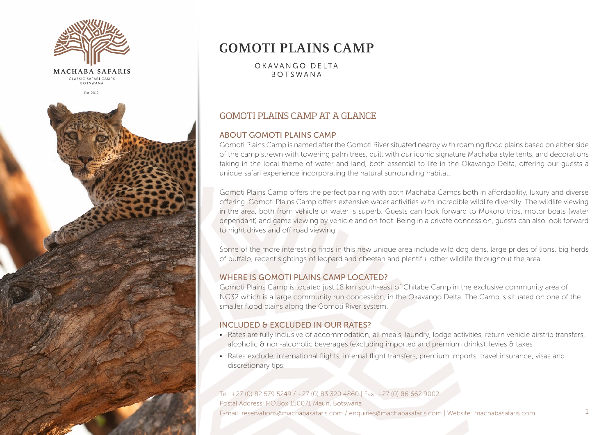

# **GOMOTI PLAINS CAMP**

OKAVANGO DELTA **BOTSWANA** 

### GOMOTI PLAINS CAMP AT A GLANCE

#### ABOUT GOMOTI PLAINS CAMP

Gomoti Plains Camp is named after the Gomoti River situated nearby with roaming flood plains based on either side of the camp strewn with towering palm trees, built with our iconic signature Machaba style tents, and decorations taking in the local theme of water and land, both essential to life in the Okavango Delta, offering our guests a unique safari experience incorporating the natural surrounding habitat.

Gomoti Plains Camp offers the perfect pairing with both Machaba Camps both in affordability, luxury and diverse offering. Gomoti Plains Camp offers extensive water activities with incredible wildlife diversity. The wildlife viewing in the area, both from vehicle or water is superb. Guests can look forward to Mokoro trips, motor boats (water dependant) and game viewing by vehicle and on foot. Being in a private concession, guests can also look forward to night drives and off road viewing.

Some of the more interesting finds in this new unique area include wild dog dens, large prides of lions, big herds of buffalo, recent sightings of leopard and cheetah and plentiful other wildlife throughout the area.

#### WHERE IS GOMOTI PLAINS CAMP LOCATED?

Gomoti Plains Camp is located just 18 km south-east of Chitabe Camp in the exclusive community area of NG32 which is a large community run concession, in the Okavango Delta. The Camp is situated on one of the smaller flood plains along the Gomoti River system.

#### INCLUDED & EXCLUDED IN OUR RATES?

- Rates are fully inclusive of accommodation, all meals, laundry, lodge activities, return vehicle airstrip transfers, alcoholic & non-alcoholic beverages (excluding imported and premium drinks), levies & taxes
- Rates exclude, international flights, internal flight transfers, premium imports, travel insurance, visas and discretionary tips.

### Tel: +27 (0) 82 579 5249 / +27 (0) 83 320 4860 | Fax: +27 (0) 86 662 9002 Postal Address: P.O.Box 150071 Maun, Botswana

E-mail: reservations@machabasafaris.com / enquiries@machabasafaris.com | Website: machabasafaris.com 1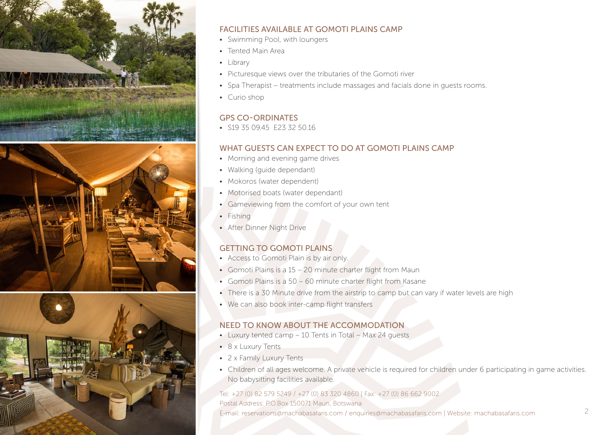

### FACILITIES AVAILABLE AT GOMOTI PLAINS CAMP

- Swimming Pool, with loungers
- Tented Main Area
- Library
- Picturesque views over the tributaries of the Gomoti river
- Spa Therapist treatments include massages and facials done in guests rooms.
- Curio shop

### GPS CO-ORDINATES

• S19 35 09 45 F23 32 50 16

### WHAT GUESTS CAN EXPECT TO DO AT GOMOTI PLAINS CAMP

- Morning and evening game drives
- Walking (guide dependant)
- Mokoros (water dependent)
- Motorised boats (water dependant)
- Gameviewing from the comfort of your own tent
- Fishing
- After Dinner Night Drive

# GETTING TO GOMOTI PLAINS

- Access to Gomoti Plain is by air only.
- Gomoti Plains is a 15 20 minute charter flight from Maun
- Gomoti Plains is a 50 60 minute charter flight from Kasane
- There is a 30 Minute drive from the airstrip to camp but can vary if water levels are high
- We can also book inter-camp flight transfers

# NEED TO KNOW ABOUT THE ACCOMMODATION

- Luxury tented camp 10 Tents in Total Max 24 guests
- 8 x Luxury Tents
- 2 x Family Luxury Tents
- Children of all ages welcome. A private vehicle is required for children under 6 participating in game activities. No babysitting facilities available.

#### Tel: +27 (0) 82 579 5249 / +27 (0) 83 320 4860 | Fax: +27 (0) 86 662 9002

Postal Address: P.O.Box 150071 Maun, Botswana E-mail: reservations@machabasafaris.com / enquiries@machabasafaris.com | Website: machabasafaris.com 2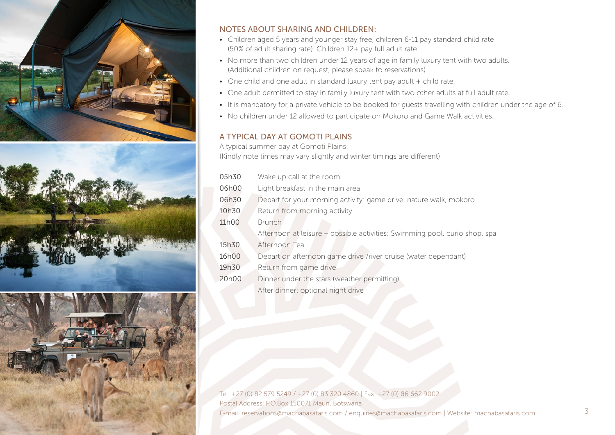





### NOTES ABOUT SHARING AND CHILDREN:

- Children aged 5 years and younger stay free, children 6-11 pay standard child rate (50% of adult sharing rate). Children 12+ pay full adult rate.
- No more than two children under 12 years of age in family luxury tent with two adults. (Additional children on request, please speak to reservations)
- One child and one adult in standard luxury tent pay adult + child rate.
- One adult permitted to stay in family luxury tent with two other adults at full adult rate.
- It is mandatory for a private vehicle to be booked for guests travelling with children under the age of 6.
- No children under 12 allowed to participate on Mokoro and Game Walk activities.

### A TYPICAL DAY AT GOMOTI PLAINS

A typical summer day at Gomoti Plains:

(Kindly note times may vary slightly and winter timings are different)

| 05h30              | Wake up call at the room                                                   |
|--------------------|----------------------------------------------------------------------------|
| 06h00              | Light breakfast in the main area                                           |
| 06h30              | Depart for your morning activity: game drive, nature walk, mokoro          |
| 10h30              | Return from morning activity                                               |
| 11h00              | <b>Brunch</b>                                                              |
|                    | Afternoon at leisure – possible activities: Swimming pool, curio shop, spa |
| 15h30              | Afternoon Tea                                                              |
| 16h00              | Depart on afternoon game drive /river cruise (water dependant)             |
| 19h30              | Return from game drive                                                     |
| 20 <sub>h</sub> 00 | Dinner under the stars (weather permitting)                                |
|                    |                                                                            |

After dinner: optional night drive

Tel: +27 (0) 82 579 5249 / +27 (0) 83 320 4860 | Fax: +27 (0) 86 662 9002 Postal Address: P.O.Box 150071 Maun, Botswana E-mail: reservations@machabasafaris.com / enquiries@machabasafaris.com | Website: machabasafaris.com 3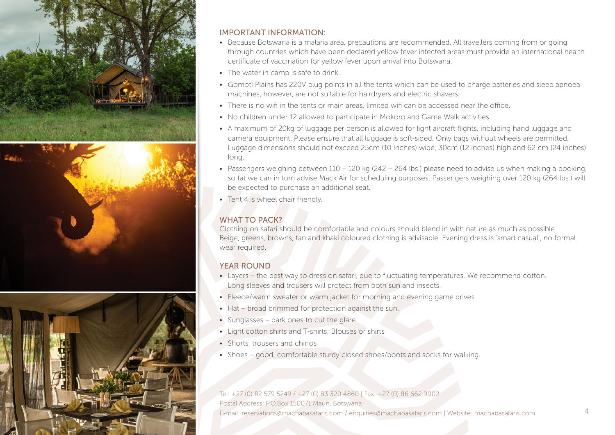

### IMPORTANT INFORMATION:

- Because Botswana is a malaria area, precautions are recommended. All travellers coming from or going through countries which have been declared yellow fever infected areas must provide an international health certificate of vaccination for yellow fever upon arrival into Botswana.
- The water in camp is safe to drink.
- Gomoti Plains has 220V plug points in all the tents which can be used to charge batteries and sleep apnoea machines, however, are not suitable for hairdryers and electric shavers.
- There is no wifi in the tents or main areas, limited wifi can be accessed near the office.
- No children under 12 allowed to participate in Mokoro and Game Walk activities.
- A maximum of 20kg of luggage per person is allowed for light aircraft flights, including hand luggage and camera equipment. Please ensure that all luggage is soft-sided. Only bags without wheels are permitted. Luggage dimensions should not exceed 25cm (10 inches) wide, 30cm (12 inches) high and 62 cm (24 inches) long.
- Passengers weighing between 110 120 kg (242 264 lbs.) please need to advise us when making a booking, so tat we can in turn advise Mack Air for scheduling purposes. Passengers weighing over 120 kg (264 lbs.) will be expected to purchase an additional seat.
- Tent 4 is wheel chair friendly.

# WHAT TO PACK?

Clothing on safari should be comfortable and colours should blend in with nature as much as possible. Beige, greens, browns, tan and khaki coloured clothing is advisable. Evening dress is 'smart casual', no formal wear required.

# YEAR ROUND

- Layers the best way to dress on safari, due to fluctuating temperatures. We recommend cotton. Long sleeves and trousers will protect from both sun and insects.
- Fleece/warm sweater or warm jacket for morning and evening game drives
- Hat broad brimmed for protection against the sun.
- Sunglasses dark ones to cut the glare.
- Light cotton shirts and T-shirts; Blouses or shirts
- Shorts, trousers and chinos
- Shoes good, comfortable sturdy closed shoes/boots and socks for walking.

Tel: +27 (0) 82 579 5249 / +27 (0) 83 320 4860 | Fax: +27 (0) 86 662 9002 Postal Address: P.O.Box 150071 Maun, Botswana E-mail: reservations@machabasafaris.com / enquiries@machabasafaris.com | Website: machabasafaris.com 4